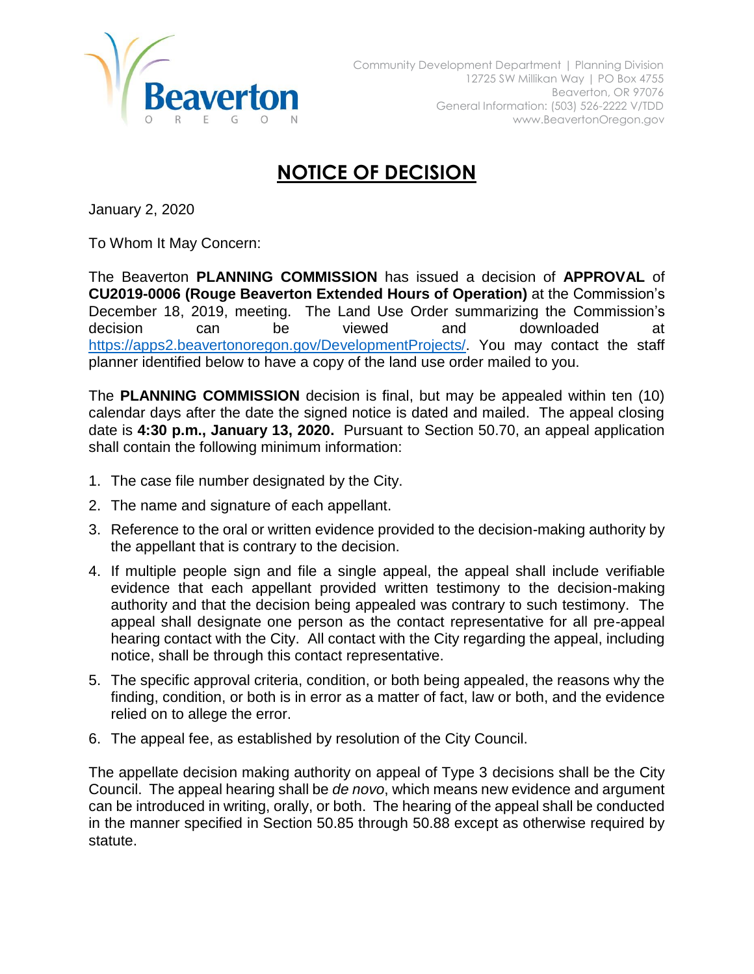

## **NOTICE OF DECISION**

January 2, 2020

To Whom It May Concern:

The Beaverton **PLANNING COMMISSION** has issued a decision of **APPROVAL** of **CU2019-0006 (Rouge Beaverton Extended Hours of Operation)** at the Commission's December 18, 2019, meeting. The Land Use Order summarizing the Commission's decision can be viewed and downloaded at [https://apps2.beavertonoregon.gov/DevelopmentProjects/.](https://apps2.beavertonoregon.gov/DevelopmentProjects/) You may contact the staff planner identified below to have a copy of the land use order mailed to you.

The **PLANNING COMMISSION** decision is final, but may be appealed within ten (10) calendar days after the date the signed notice is dated and mailed. The appeal closing date is **4:30 p.m., January 13, 2020.** Pursuant to Section 50.70, an appeal application shall contain the following minimum information:

- 1. The case file number designated by the City.
- 2. The name and signature of each appellant.
- 3. Reference to the oral or written evidence provided to the decision-making authority by the appellant that is contrary to the decision.
- 4. If multiple people sign and file a single appeal, the appeal shall include verifiable evidence that each appellant provided written testimony to the decision-making authority and that the decision being appealed was contrary to such testimony. The appeal shall designate one person as the contact representative for all pre-appeal hearing contact with the City. All contact with the City regarding the appeal, including notice, shall be through this contact representative.
- 5. The specific approval criteria, condition, or both being appealed, the reasons why the finding, condition, or both is in error as a matter of fact, law or both, and the evidence relied on to allege the error.
- 6. The appeal fee, as established by resolution of the City Council.

The appellate decision making authority on appeal of Type 3 decisions shall be the City Council. The appeal hearing shall be *de novo*, which means new evidence and argument can be introduced in writing, orally, or both. The hearing of the appeal shall be conducted in the manner specified in Section 50.85 through 50.88 except as otherwise required by statute.